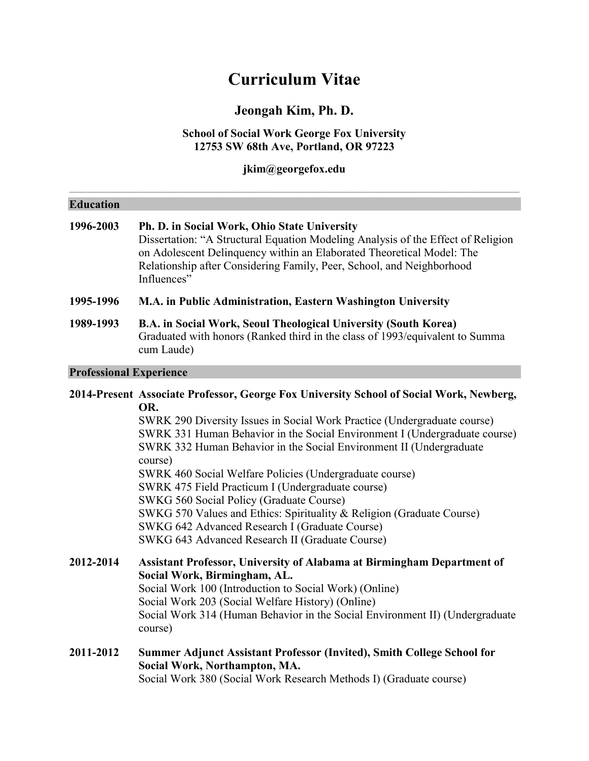# **Curriculum Vitae**

# **Jeongah Kim, Ph. D.**

# **School of Social Work George Fox University 12753 SW 68th Ave, Portland, OR 97223**

**jkim@georgefox.edu**

| <b>Education</b>               |                                                                                                                                                                                                                                                                                                                                                                                                                                                                                                                                                                                                                                                                                      |
|--------------------------------|--------------------------------------------------------------------------------------------------------------------------------------------------------------------------------------------------------------------------------------------------------------------------------------------------------------------------------------------------------------------------------------------------------------------------------------------------------------------------------------------------------------------------------------------------------------------------------------------------------------------------------------------------------------------------------------|
| 1996-2003                      | Ph. D. in Social Work, Ohio State University<br>Dissertation: "A Structural Equation Modeling Analysis of the Effect of Religion<br>on Adolescent Delinquency within an Elaborated Theoretical Model: The<br>Relationship after Considering Family, Peer, School, and Neighborhood<br>Influences"                                                                                                                                                                                                                                                                                                                                                                                    |
| 1995-1996                      | M.A. in Public Administration, Eastern Washington University                                                                                                                                                                                                                                                                                                                                                                                                                                                                                                                                                                                                                         |
| 1989-1993                      | B.A. in Social Work, Seoul Theological University (South Korea)<br>Graduated with honors (Ranked third in the class of 1993/equivalent to Summa<br>cum Laude)                                                                                                                                                                                                                                                                                                                                                                                                                                                                                                                        |
| <b>Professional Experience</b> |                                                                                                                                                                                                                                                                                                                                                                                                                                                                                                                                                                                                                                                                                      |
|                                | 2014-Present Associate Professor, George Fox University School of Social Work, Newberg,<br>OR.<br>SWRK 290 Diversity Issues in Social Work Practice (Undergraduate course)<br>SWRK 331 Human Behavior in the Social Environment I (Undergraduate course)<br>SWRK 332 Human Behavior in the Social Environment II (Undergraduate<br>course)<br>SWRK 460 Social Welfare Policies (Undergraduate course)<br>SWRK 475 Field Practicum I (Undergraduate course)<br>SWKG 560 Social Policy (Graduate Course)<br>SWKG 570 Values and Ethics: Spirituality & Religion (Graduate Course)<br>SWKG 642 Advanced Research I (Graduate Course)<br>SWKG 643 Advanced Research II (Graduate Course) |
| 2012-2014                      | Assistant Professor, University of Alabama at Birmingham Department of<br>Social Work, Birmingham, AL.<br>Social Work 100 (Introduction to Social Work) (Online)<br>Social Work 203 (Social Welfare History) (Online)<br>Social Work 314 (Human Behavior in the Social Environment II) (Undergraduate<br>course)                                                                                                                                                                                                                                                                                                                                                                     |
| 2011-2012                      | Summer Adjunct Assistant Professor (Invited), Smith College School for<br>Social Work, Northampton, MA.                                                                                                                                                                                                                                                                                                                                                                                                                                                                                                                                                                              |

Social Work 380 (Social Work Research Methods I) (Graduate course)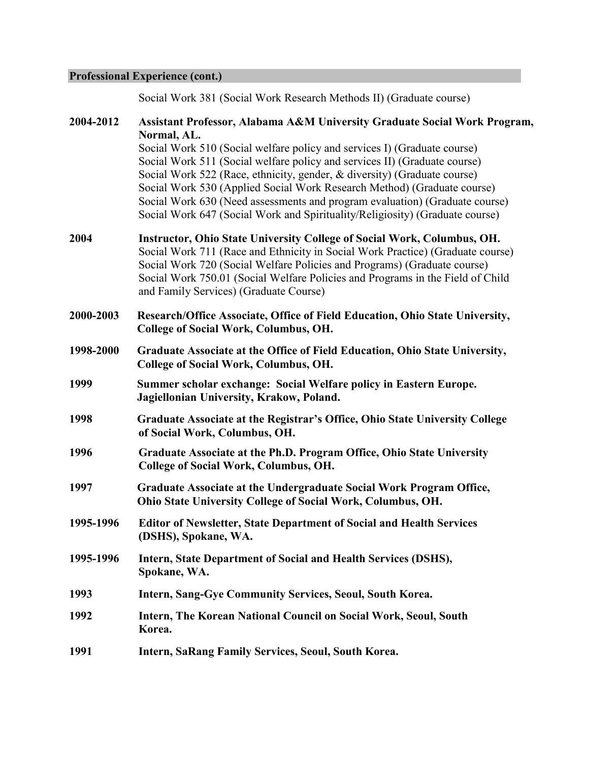# **Professional Experience (cont.)**

Social Work 381 (Social Work Research Methods II) (Graduate course)

| 2004-2012 | Assistant Professor, Alabama A&M University Graduate Social Work Program,<br>Normal, AL.<br>Social Work 510 (Social welfare policy and services I) (Graduate course)<br>Social Work 511 (Social welfare policy and services II) (Graduate course)<br>Social Work 522 (Race, ethnicity, gender, & diversity) (Graduate course)<br>Social Work 530 (Applied Social Work Research Method) (Graduate course)<br>Social Work 630 (Need assessments and program evaluation) (Graduate course)<br>Social Work 647 (Social Work and Spirituality/Religiosity) (Graduate course) |
|-----------|-------------------------------------------------------------------------------------------------------------------------------------------------------------------------------------------------------------------------------------------------------------------------------------------------------------------------------------------------------------------------------------------------------------------------------------------------------------------------------------------------------------------------------------------------------------------------|
| 2004      | Instructor, Ohio State University College of Social Work, Columbus, OH.<br>Social Work 711 (Race and Ethnicity in Social Work Practice) (Graduate course)<br>Social Work 720 (Social Welfare Policies and Programs) (Graduate course)<br>Social Work 750.01 (Social Welfare Policies and Programs in the Field of Child<br>and Family Services) (Graduate Course)                                                                                                                                                                                                       |
| 2000-2003 | Research/Office Associate, Office of Field Education, Ohio State University,<br><b>College of Social Work, Columbus, OH.</b>                                                                                                                                                                                                                                                                                                                                                                                                                                            |
| 1998-2000 | Graduate Associate at the Office of Field Education, Ohio State University,<br><b>College of Social Work, Columbus, OH.</b>                                                                                                                                                                                                                                                                                                                                                                                                                                             |
| 1999      | Summer scholar exchange: Social Welfare policy in Eastern Europe.<br>Jagiellonian University, Krakow, Poland.                                                                                                                                                                                                                                                                                                                                                                                                                                                           |
| 1998      | Graduate Associate at the Registrar's Office, Ohio State University College<br>of Social Work, Columbus, OH.                                                                                                                                                                                                                                                                                                                                                                                                                                                            |
| 1996      | Graduate Associate at the Ph.D. Program Office, Ohio State University<br><b>College of Social Work, Columbus, OH.</b>                                                                                                                                                                                                                                                                                                                                                                                                                                                   |
| 1997      | Graduate Associate at the Undergraduate Social Work Program Office,<br>Ohio State University College of Social Work, Columbus, OH.                                                                                                                                                                                                                                                                                                                                                                                                                                      |
| 1995-1996 | <b>Editor of Newsletter, State Department of Social and Health Services</b><br>(DSHS), Spokane, WA.                                                                                                                                                                                                                                                                                                                                                                                                                                                                     |
| 1995-1996 | Intern, State Department of Social and Health Services (DSHS),<br>Spokane, WA.                                                                                                                                                                                                                                                                                                                                                                                                                                                                                          |
| 1993      | <b>Intern, Sang-Gye Community Services, Seoul, South Korea.</b>                                                                                                                                                                                                                                                                                                                                                                                                                                                                                                         |
| 1992      | Intern, The Korean National Council on Social Work, Seoul, South<br>Korea.                                                                                                                                                                                                                                                                                                                                                                                                                                                                                              |
| 1991      | Intern, SaRang Family Services, Seoul, South Korea.                                                                                                                                                                                                                                                                                                                                                                                                                                                                                                                     |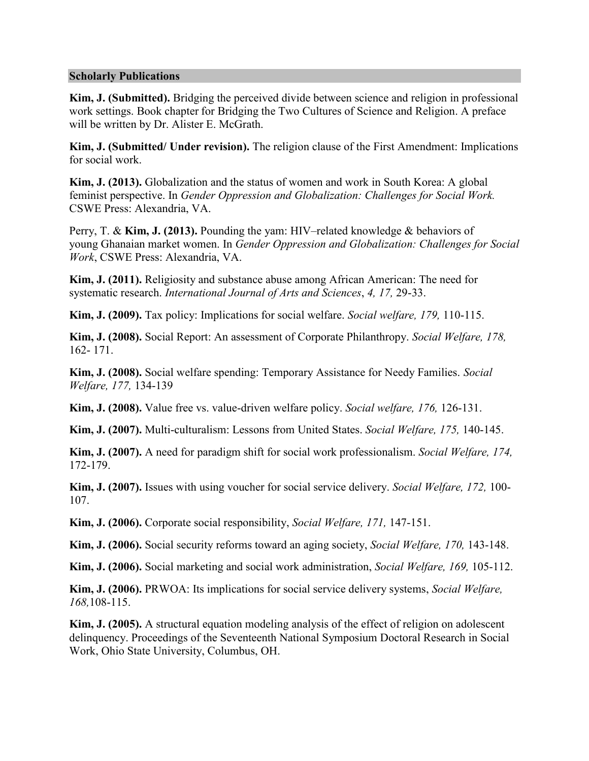#### **Scholarly Publications**

**Kim, J. (Submitted).** Bridging the perceived divide between science and religion in professional work settings. Book chapter for Bridging the Two Cultures of Science and Religion. A preface will be written by Dr. Alister E. McGrath.

**Kim, J. (Submitted/ Under revision).** The religion clause of the First Amendment: Implications for social work.

**Kim, J. (2013).** Globalization and the status of women and work in South Korea: A global feminist perspective. In *Gender Oppression and Globalization: Challenges for Social Work.* CSWE Press: Alexandria, VA.

Perry, T. & **Kim, J. (2013).** Pounding the yam: HIV–related knowledge & behaviors of young Ghanaian market women. In *Gender Oppression and Globalization: Challenges for Social Work*, CSWE Press: Alexandria, VA.

**Kim, J. (2011).** Religiosity and substance abuse among African American: The need for systematic research. *International Journal of Arts and Sciences*, *4, 17,* 29-33.

**Kim, J. (2009).** Tax policy: Implications for social welfare. *Social welfare, 179,* 110-115.

**Kim, J. (2008).** Social Report: An assessment of Corporate Philanthropy. *Social Welfare, 178,* 162- 171.

**Kim, J. (2008).** Social welfare spending: Temporary Assistance for Needy Families. *Social Welfare, 177,* 134-139

**Kim, J. (2008).** Value free vs. value-driven welfare policy. *Social welfare, 176,* 126-131.

**Kim, J. (2007).** Multi-culturalism: Lessons from United States. *Social Welfare, 175,* 140-145.

**Kim, J. (2007).** A need for paradigm shift for social work professionalism. *Social Welfare, 174,*  172-179.

**Kim, J. (2007).** Issues with using voucher for social service delivery. *Social Welfare, 172,* 100- 107.

**Kim, J. (2006).** Corporate social responsibility, *Social Welfare, 171,* 147-151.

**Kim, J. (2006).** Social security reforms toward an aging society, *Social Welfare, 170,* 143-148.

**Kim, J. (2006).** Social marketing and social work administration, *Social Welfare, 169,* 105-112.

**Kim, J. (2006).** PRWOA: Its implications for social service delivery systems, *Social Welfare, 168,*108-115.

**Kim, J. (2005).** A structural equation modeling analysis of the effect of religion on adolescent delinquency. Proceedings of the Seventeenth National Symposium Doctoral Research in Social Work, Ohio State University, Columbus, OH.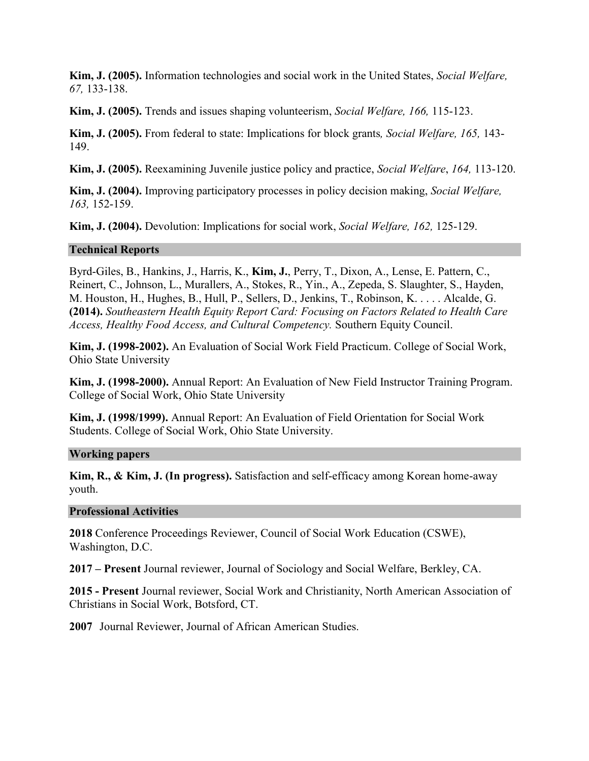**Kim, J. (2005).** Information technologies and social work in the United States, *Social Welfare, 67,* 133-138.

**Kim, J. (2005).** Trends and issues shaping volunteerism, *Social Welfare, 166,* 115-123.

**Kim, J. (2005).** From federal to state: Implications for block grants*, Social Welfare, 165,* 143- 149.

**Kim, J. (2005).** Reexamining Juvenile justice policy and practice, *Social Welfare*, *164,* 113-120.

**Kim, J. (2004).** Improving participatory processes in policy decision making, *Social Welfare, 163,* 152-159.

**Kim, J. (2004).** Devolution: Implications for social work, *Social Welfare, 162,* 125-129.

# **Technical Reports**

Byrd-Giles, B., Hankins, J., Harris, K., **Kim, J.**, Perry, T., Dixon, A., Lense, E. Pattern, C., Reinert, C., Johnson, L., Murallers, A., Stokes, R., Yin., A., Zepeda, S. Slaughter, S., Hayden, M. Houston, H., Hughes, B., Hull, P., Sellers, D., Jenkins, T., Robinson, K. . . . . Alcalde, G. **(2014).** *Southeastern Health Equity Report Card: Focusing on Factors Related to Health Care Access, Healthy Food Access, and Cultural Competency.* Southern Equity Council.

**Kim, J. (1998-2002).** An Evaluation of Social Work Field Practicum. College of Social Work, Ohio State University

**Kim, J. (1998-2000).** Annual Report: An Evaluation of New Field Instructor Training Program. College of Social Work, Ohio State University

**Kim, J. (1998/1999).** Annual Report: An Evaluation of Field Orientation for Social Work Students. College of Social Work, Ohio State University.

# **Working papers**

**Kim, R., & Kim, J. (In progress).** Satisfaction and self-efficacy among Korean home-away youth.

# **Professional Activities**

**2018** Conference Proceedings Reviewer, Council of Social Work Education (CSWE), Washington, D.C.

**2017 – Present** Journal reviewer, Journal of Sociology and Social Welfare, Berkley, CA.

**2015 - Present** Journal reviewer, Social Work and Christianity, North American Association of Christians in Social Work, Botsford, CT.

**2007** Journal Reviewer, Journal of African American Studies.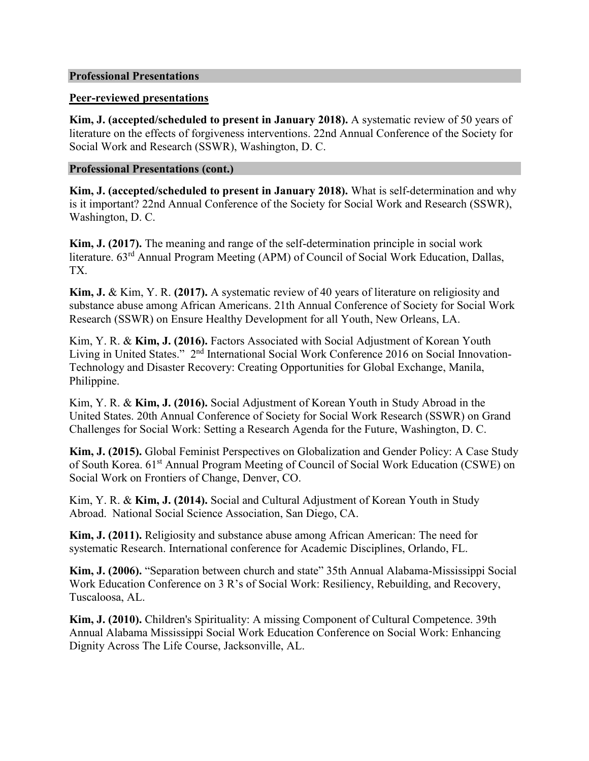#### **Professional Presentations**

# **Peer-reviewed presentations**

**Kim, J. (accepted/scheduled to present in January 2018).** A systematic review of 50 years of literature on the effects of forgiveness interventions. 22nd Annual Conference of the Society for Social Work and Research (SSWR), Washington, D. C.

# **Professional Presentations (cont.)**

**Kim, J. (accepted/scheduled to present in January 2018).** What is self-determination and why is it important? 22nd Annual Conference of the Society for Social Work and Research (SSWR), Washington, D. C.

**Kim, J. (2017).** The meaning and range of the self-determination principle in social work literature. 63<sup>rd</sup> Annual Program Meeting (APM) of Council of Social Work Education, Dallas, TX.

**Kim, J.** & Kim, Y. R. **(2017).** A systematic review of 40 years of literature on religiosity and substance abuse among African Americans. 21th Annual Conference of Society for Social Work Research (SSWR) on Ensure Healthy Development for all Youth, New Orleans, LA.

Kim, Y. R. & **Kim, J. (2016).** Factors Associated with Social Adjustment of Korean Youth Living in United States." 2<sup>nd</sup> International Social Work Conference 2016 on Social Innovation-Technology and Disaster Recovery: Creating Opportunities for Global Exchange, Manila, Philippine.

Kim, Y. R. & **Kim, J. (2016).** Social Adjustment of Korean Youth in Study Abroad in the United States. 20th Annual Conference of Society for Social Work Research (SSWR) on Grand Challenges for Social Work: Setting a Research Agenda for the Future, Washington, D. C.

**Kim, J. (2015).** Global Feminist Perspectives on Globalization and Gender Policy: A Case Study of South Korea. 61<sup>st</sup> Annual Program Meeting of Council of Social Work Education (CSWE) on Social Work on Frontiers of Change, Denver, CO.

Kim, Y. R. & **Kim, J. (2014).** Social and Cultural Adjustment of Korean Youth in Study Abroad. National Social Science Association, San Diego, CA.

**Kim, J. (2011).** Religiosity and substance abuse among African American: The need for systematic Research. International conference for Academic Disciplines, Orlando, FL.

**Kim, J. (2006).** "Separation between church and state" 35th Annual Alabama-Mississippi Social Work Education Conference on 3 R's of Social Work: Resiliency, Rebuilding, and Recovery, Tuscaloosa, AL.

**Kim, J. (2010).** Children's Spirituality: A missing Component of Cultural Competence. 39th Annual Alabama Mississippi Social Work Education Conference on Social Work: Enhancing Dignity Across The Life Course, Jacksonville, AL.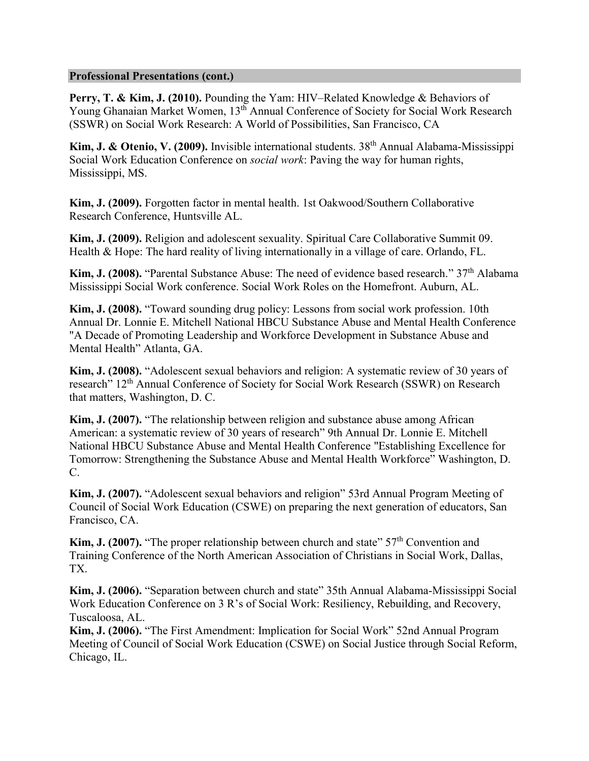### **Professional Presentations (cont.)**

**Perry, T. & Kim, J. (2010).** Pounding the Yam: HIV–Related Knowledge & Behaviors of Young Ghanaian Market Women, 13<sup>th</sup> Annual Conference of Society for Social Work Research (SSWR) on Social Work Research: A World of Possibilities, San Francisco, CA

Kim, J. & Otenio, V. (2009). Invisible international students. 38<sup>th</sup> Annual Alabama-Mississippi Social Work Education Conference on *social work*: Paving the way for human rights, Mississippi, MS.

**Kim, J. (2009).** Forgotten factor in mental health. 1st Oakwood/Southern Collaborative Research Conference, Huntsville AL.

**Kim, J. (2009).** Religion and adolescent sexuality. Spiritual Care Collaborative Summit 09. Health & Hope: The hard reality of living internationally in a village of care. Orlando, FL.

**Kim, J. (2008).** "Parental Substance Abuse: The need of evidence based research." 37<sup>th</sup> Alabama Mississippi Social Work conference. Social Work Roles on the Homefront. Auburn, AL.

**Kim, J. (2008).** "Toward sounding drug policy: Lessons from social work profession. 10th Annual Dr. Lonnie E. Mitchell National HBCU Substance Abuse and Mental Health Conference "A Decade of Promoting Leadership and Workforce Development in Substance Abuse and Mental Health" Atlanta, GA.

**Kim, J. (2008).** "Adolescent sexual behaviors and religion: A systematic review of 30 years of research" 12<sup>th</sup> Annual Conference of Society for Social Work Research (SSWR) on Research that matters, Washington, D. C.

**Kim, J. (2007).** "The relationship between religion and substance abuse among African American: a systematic review of 30 years of research" 9th Annual Dr. Lonnie E. Mitchell National HBCU Substance Abuse and Mental Health Conference "Establishing Excellence for Tomorrow: Strengthening the Substance Abuse and Mental Health Workforce" Washington, D. C.

**Kim, J. (2007).** "Adolescent sexual behaviors and religion" 53rd Annual Program Meeting of Council of Social Work Education (CSWE) on preparing the next generation of educators, San Francisco, CA.

**Kim, J. (2007).** "The proper relationship between church and state" 57<sup>th</sup> Convention and Training Conference of the North American Association of Christians in Social Work, Dallas, TX.

**Kim, J. (2006).** "Separation between church and state" 35th Annual Alabama-Mississippi Social Work Education Conference on 3 R's of Social Work: Resiliency, Rebuilding, and Recovery, Tuscaloosa, AL.

**Kim, J. (2006).** "The First Amendment: Implication for Social Work" 52nd Annual Program Meeting of Council of Social Work Education (CSWE) on Social Justice through Social Reform, Chicago, IL.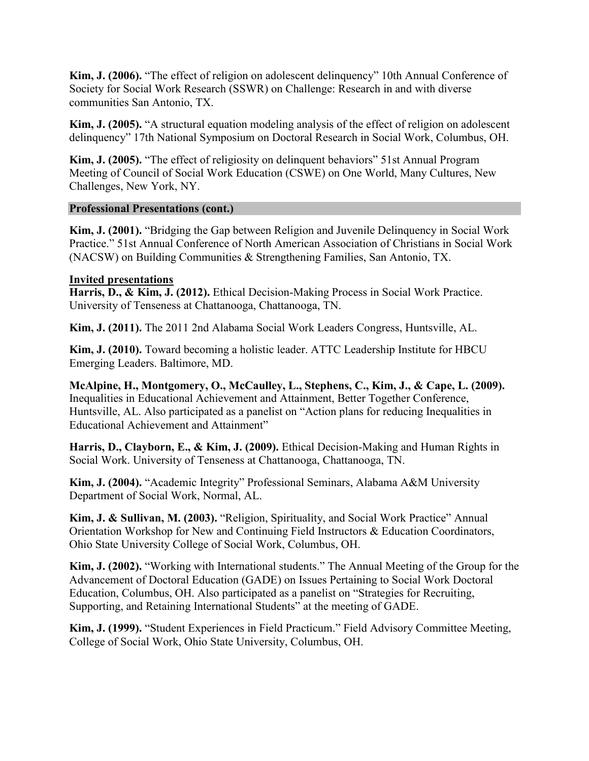**Kim, J. (2006).** "The effect of religion on adolescent delinquency" 10th Annual Conference of Society for Social Work Research (SSWR) on Challenge: Research in and with diverse communities San Antonio, TX.

**Kim, J. (2005).** "A structural equation modeling analysis of the effect of religion on adolescent delinquency" 17th National Symposium on Doctoral Research in Social Work, Columbus, OH.

**Kim, J. (2005).** "The effect of religiosity on delinquent behaviors" 51st Annual Program Meeting of Council of Social Work Education (CSWE) on One World, Many Cultures, New Challenges, New York, NY.

# **Professional Presentations (cont.)**

**Kim, J. (2001).** "Bridging the Gap between Religion and Juvenile Delinquency in Social Work Practice." 51st Annual Conference of North American Association of Christians in Social Work (NACSW) on Building Communities & Strengthening Families, San Antonio, TX.

# **Invited presentations**

**Harris, D., & Kim, J. (2012).** Ethical Decision-Making Process in Social Work Practice. University of Tenseness at Chattanooga, Chattanooga, TN.

**Kim, J. (2011).** The 2011 2nd Alabama Social Work Leaders Congress, Huntsville, AL.

**Kim, J. (2010).** Toward becoming a holistic leader. ATTC Leadership Institute for HBCU Emerging Leaders. Baltimore, MD.

**McAlpine, H., Montgomery, O., McCaulley, L., Stephens, C., Kim, J., & Cape, L. (2009).**  Inequalities in Educational Achievement and Attainment, Better Together Conference, Huntsville, AL. Also participated as a panelist on "Action plans for reducing Inequalities in Educational Achievement and Attainment"

**Harris, D., Clayborn, E., & Kim, J. (2009).** Ethical Decision-Making and Human Rights in Social Work. University of Tenseness at Chattanooga, Chattanooga, TN.

**Kim, J. (2004).** "Academic Integrity" Professional Seminars, Alabama A&M University Department of Social Work, Normal, AL.

**Kim, J. & Sullivan, M. (2003).** "Religion, Spirituality, and Social Work Practice" Annual Orientation Workshop for New and Continuing Field Instructors & Education Coordinators, Ohio State University College of Social Work, Columbus, OH.

**Kim, J. (2002).** "Working with International students." The Annual Meeting of the Group for the Advancement of Doctoral Education (GADE) on Issues Pertaining to Social Work Doctoral Education, Columbus, OH. Also participated as a panelist on "Strategies for Recruiting, Supporting, and Retaining International Students" at the meeting of GADE.

**Kim, J. (1999).** "Student Experiences in Field Practicum." Field Advisory Committee Meeting, College of Social Work, Ohio State University, Columbus, OH.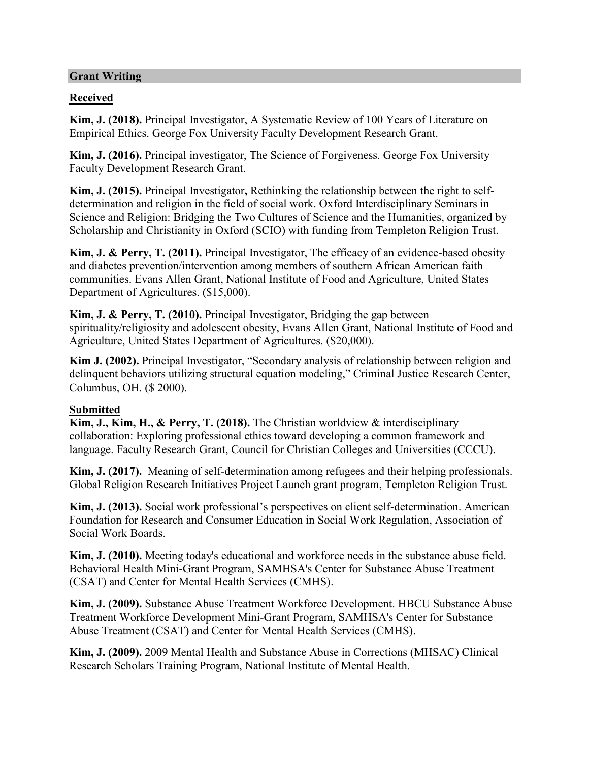# **Grant Writing**

# **Received**

**Kim, J. (2018).** Principal Investigator, A Systematic Review of 100 Years of Literature on Empirical Ethics. George Fox University Faculty Development Research Grant.

**Kim, J. (2016).** Principal investigator, The Science of Forgiveness. George Fox University Faculty Development Research Grant.

**Kim, J. (2015).** Principal Investigator**,** Rethinking the relationship between the right to selfdetermination and religion in the field of social work. Oxford Interdisciplinary Seminars in Science and Religion: Bridging the Two Cultures of Science and the Humanities, organized by Scholarship and Christianity in Oxford (SCIO) with funding from Templeton Religion Trust.

**Kim, J. & Perry, T. (2011).** Principal Investigator, The efficacy of an evidence-based obesity and diabetes prevention/intervention among members of southern African American faith communities. Evans Allen Grant, National Institute of Food and Agriculture, United States Department of Agricultures. (\$15,000).

**Kim, J. & Perry, T. (2010).** Principal Investigator, Bridging the gap between spirituality/religiosity and adolescent obesity, Evans Allen Grant, National Institute of Food and Agriculture, United States Department of Agricultures. (\$20,000).

**Kim J. (2002).** Principal Investigator, "Secondary analysis of relationship between religion and delinquent behaviors utilizing structural equation modeling," Criminal Justice Research Center, Columbus, OH. (\$ 2000).

# **Submitted**

**Kim, J., Kim, H., & Perry, T. (2018).** The Christian worldview & interdisciplinary collaboration: Exploring professional ethics toward developing a common framework and language. Faculty Research Grant, Council for Christian Colleges and Universities (CCCU).

**Kim, J. (2017).** Meaning of self-determination among refugees and their helping professionals. Global Religion Research Initiatives Project Launch grant program, Templeton Religion Trust.

**Kim, J. (2013).** Social work professional's perspectives on client self-determination. American Foundation for Research and Consumer Education in Social Work Regulation, Association of Social Work Boards.

**Kim, J. (2010).** Meeting today's educational and workforce needs in the substance abuse field. Behavioral Health Mini-Grant Program, SAMHSA's Center for Substance Abuse Treatment (CSAT) and Center for Mental Health Services (CMHS).

**Kim, J. (2009).** Substance Abuse Treatment Workforce Development. HBCU Substance Abuse Treatment Workforce Development Mini-Grant Program, SAMHSA's Center for Substance Abuse Treatment (CSAT) and Center for Mental Health Services (CMHS).

**Kim, J. (2009).** 2009 Mental Health and Substance Abuse in Corrections (MHSAC) Clinical Research Scholars Training Program, National Institute of Mental Health.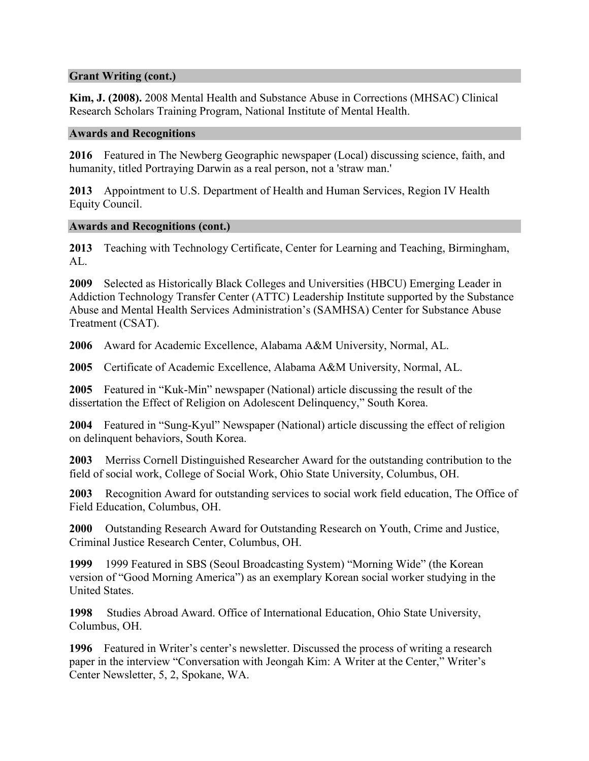# **Grant Writing (cont.)**

**Kim, J. (2008).** 2008 Mental Health and Substance Abuse in Corrections (MHSAC) Clinical Research Scholars Training Program, National Institute of Mental Health.

#### **Awards and Recognitions**

**2016** Featured in The Newberg Geographic newspaper (Local) discussing science, faith, and humanity, titled Portraying Darwin as a real person, not a 'straw man.'

**2013** Appointment to U.S. Department of Health and Human Services, Region IV Health Equity Council.

#### **Awards and Recognitions (cont.)**

**2013** Teaching with Technology Certificate, Center for Learning and Teaching, Birmingham, AL.

**2009** Selected as Historically Black Colleges and Universities (HBCU) Emerging Leader in Addiction Technology Transfer Center (ATTC) Leadership Institute supported by the Substance Abuse and Mental Health Services Administration's (SAMHSA) Center for Substance Abuse Treatment (CSAT).

**2006** Award for Academic Excellence, Alabama A&M University, Normal, AL.

**2005** Certificate of Academic Excellence, Alabama A&M University, Normal, AL.

**2005** Featured in "Kuk-Min" newspaper (National) article discussing the result of the dissertation the Effect of Religion on Adolescent Delinquency," South Korea.

**2004** Featured in "Sung-Kyul" Newspaper (National) article discussing the effect of religion on delinquent behaviors, South Korea.

**2003** Merriss Cornell Distinguished Researcher Award for the outstanding contribution to the field of social work, College of Social Work, Ohio State University, Columbus, OH.

**2003** Recognition Award for outstanding services to social work field education, The Office of Field Education, Columbus, OH.

**2000** Outstanding Research Award for Outstanding Research on Youth, Crime and Justice, Criminal Justice Research Center, Columbus, OH.

**1999** 1999 Featured in SBS (Seoul Broadcasting System) "Morning Wide" (the Korean version of "Good Morning America") as an exemplary Korean social worker studying in the United States.

**1998** Studies Abroad Award. Office of International Education, Ohio State University, Columbus, OH.

**1996** Featured in Writer's center's newsletter. Discussed the process of writing a research paper in the interview "Conversation with Jeongah Kim: A Writer at the Center," Writer's Center Newsletter, 5, 2, Spokane, WA.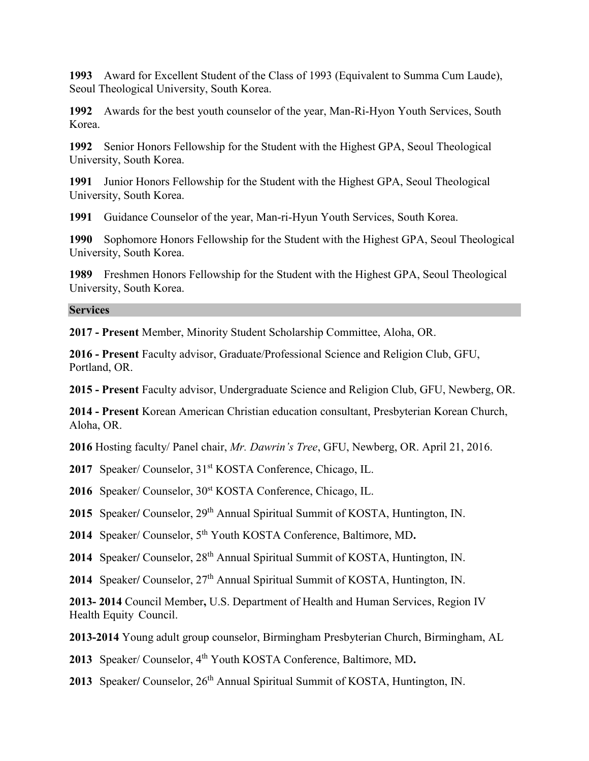**1993** Award for Excellent Student of the Class of 1993 (Equivalent to Summa Cum Laude), Seoul Theological University, South Korea.

**1992** Awards for the best youth counselor of the year, Man-Ri-Hyon Youth Services, South Korea.

**1992** Senior Honors Fellowship for the Student with the Highest GPA, Seoul Theological University, South Korea.

**1991** Junior Honors Fellowship for the Student with the Highest GPA, Seoul Theological University, South Korea.

**1991** Guidance Counselor of the year, Man-ri-Hyun Youth Services, South Korea.

**1990** Sophomore Honors Fellowship for the Student with the Highest GPA, Seoul Theological University, South Korea.

**1989** Freshmen Honors Fellowship for the Student with the Highest GPA, Seoul Theological University, South Korea.

#### **Services**

**2017 - Present** Member, Minority Student Scholarship Committee, Aloha, OR.

**2016 - Present** Faculty advisor, Graduate/Professional Science and Religion Club, GFU, Portland, OR.

**2015 - Present** Faculty advisor, Undergraduate Science and Religion Club, GFU, Newberg, OR.

**2014 - Present** Korean American Christian education consultant, Presbyterian Korean Church, Aloha, OR.

**2016** Hosting faculty/ Panel chair, *Mr. Dawrin's Tree*, GFU, Newberg, OR. April 21, 2016.

2017 Speaker/ Counselor, 31<sup>st</sup> KOSTA Conference, Chicago, IL.

2016 Speaker/ Counselor, 30<sup>st</sup> KOSTA Conference, Chicago, IL.

**2015** Speaker**/** Counselor, 29th Annual Spiritual Summit of KOSTA, Huntington, IN.

**2014** Speaker/ Counselor, 5th Youth KOSTA Conference, Baltimore, MD**.**

**2014** Speaker**/** Counselor, 28th Annual Spiritual Summit of KOSTA, Huntington, IN.

**2014** Speaker**/** Counselor, 27th Annual Spiritual Summit of KOSTA, Huntington, IN.

**2013- 2014** Council Member**,** U.S. Department of Health and Human Services, Region IV Health Equity Council.

**2013-2014** Young adult group counselor, Birmingham Presbyterian Church, Birmingham, AL

**2013** Speaker/ Counselor, 4th Youth KOSTA Conference, Baltimore, MD**.**

2013 Speaker/ Counselor, 26<sup>th</sup> Annual Spiritual Summit of KOSTA, Huntington, IN.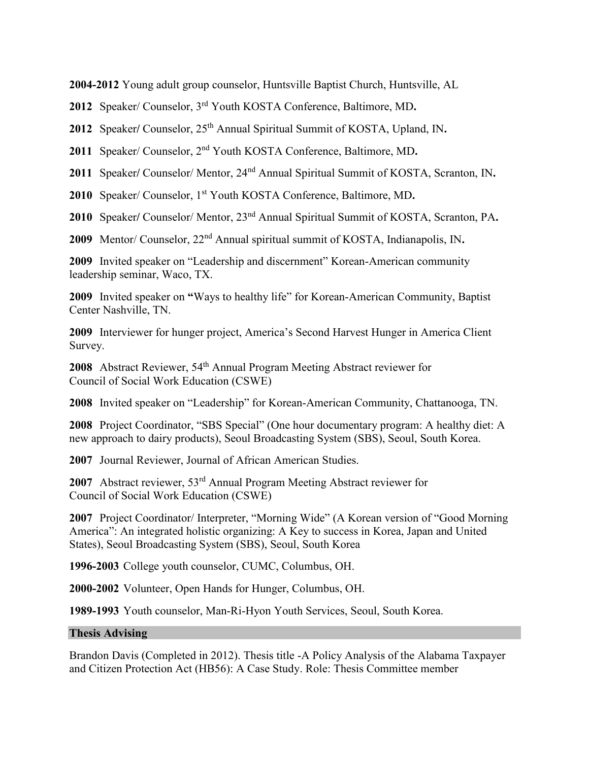**2004-2012** Young adult group counselor, Huntsville Baptist Church, Huntsville, AL

**2012** Speaker/ Counselor, 3rd Youth KOSTA Conference, Baltimore, MD**.**

2012 Speaker/ Counselor, 25<sup>th</sup> Annual Spiritual Summit of KOSTA, Upland, IN.

**2011** Speaker/ Counselor, 2nd Youth KOSTA Conference, Baltimore, MD**.**

**2011** Speaker**/** Counselor/ Mentor, 24nd Annual Spiritual Summit of KOSTA, Scranton, IN**.**

**2010** Speaker/ Counselor, 1st Youth KOSTA Conference, Baltimore, MD**.**

**2010** Speaker**/** Counselor/ Mentor, 23nd Annual Spiritual Summit of KOSTA, Scranton, PA**.**

**2009** Mentor/ Counselor, 22nd Annual spiritual summit of KOSTA, Indianapolis, IN**.**

**2009** Invited speaker on "Leadership and discernment" Korean-American community leadership seminar, Waco, TX.

**2009** Invited speaker on **"**Ways to healthy life" for Korean-American Community, Baptist Center Nashville, TN.

**2009** Interviewer for hunger project, America's Second Harvest Hunger in America Client Survey.

**2008** Abstract Reviewer, 54<sup>th</sup> Annual Program Meeting Abstract reviewer for Council of Social Work Education (CSWE)

**2008** Invited speaker on "Leadership" for Korean-American Community, Chattanooga, TN.

**2008** Project Coordinator, "SBS Special" (One hour documentary program: A healthy diet: A new approach to dairy products), Seoul Broadcasting System (SBS), Seoul, South Korea.

**2007** Journal Reviewer, Journal of African American Studies.

**2007** Abstract reviewer, 53rd Annual Program Meeting Abstract reviewer for Council of Social Work Education (CSWE)

**2007** Project Coordinator/ Interpreter, "Morning Wide" (A Korean version of "Good Morning America": An integrated holistic organizing: A Key to success in Korea, Japan and United States), Seoul Broadcasting System (SBS), Seoul, South Korea

**1996-2003** College youth counselor, CUMC, Columbus, OH.

**2000-2002** Volunteer, Open Hands for Hunger, Columbus, OH.

**1989-1993** Youth counselor, Man-Ri-Hyon Youth Services, Seoul, South Korea.

# **Thesis Advising**

Brandon Davis (Completed in 2012). Thesis title -A Policy Analysis of the Alabama Taxpayer and Citizen Protection Act (HB56): A Case Study. Role: Thesis Committee member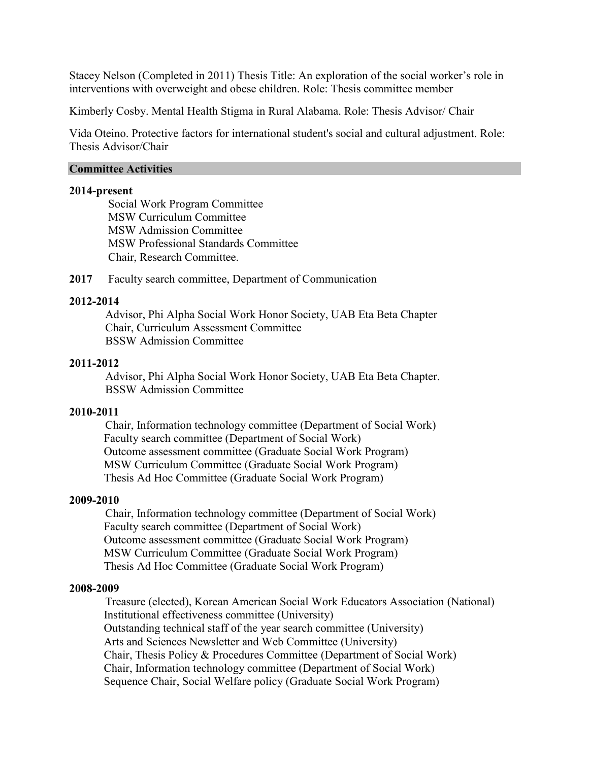Stacey Nelson (Completed in 2011) Thesis Title: An exploration of the social worker's role in interventions with overweight and obese children. Role: Thesis committee member

Kimberly Cosby. Mental Health Stigma in Rural Alabama. Role: Thesis Advisor/ Chair

Vida Oteino. Protective factors for international student's social and cultural adjustment. Role: Thesis Advisor/Chair

### **Committee Activities**

#### **2014-present**

Social Work Program Committee MSW Curriculum Committee MSW Admission Committee MSW Professional Standards Committee Chair, Research Committee.

**2017** Faculty search committee, Department of Communication

# **2012-2014**

Advisor, Phi Alpha Social Work Honor Society, UAB Eta Beta Chapter Chair, Curriculum Assessment Committee BSSW Admission Committee

#### **2011-2012**

Advisor, Phi Alpha Social Work Honor Society, UAB Eta Beta Chapter. BSSW Admission Committee

# **2010-2011**

Chair, Information technology committee (Department of Social Work) Faculty search committee (Department of Social Work) Outcome assessment committee (Graduate Social Work Program) MSW Curriculum Committee (Graduate Social Work Program) Thesis Ad Hoc Committee (Graduate Social Work Program)

#### **2009-2010**

Chair, Information technology committee (Department of Social Work) Faculty search committee (Department of Social Work) Outcome assessment committee (Graduate Social Work Program) MSW Curriculum Committee (Graduate Social Work Program) Thesis Ad Hoc Committee (Graduate Social Work Program)

#### **2008-2009**

Treasure (elected), Korean American Social Work Educators Association (National) Institutional effectiveness committee (University) Outstanding technical staff of the year search committee (University) Arts and Sciences Newsletter and Web Committee (University) Chair, Thesis Policy & Procedures Committee (Department of Social Work) Chair, Information technology committee (Department of Social Work) Sequence Chair, Social Welfare policy (Graduate Social Work Program)